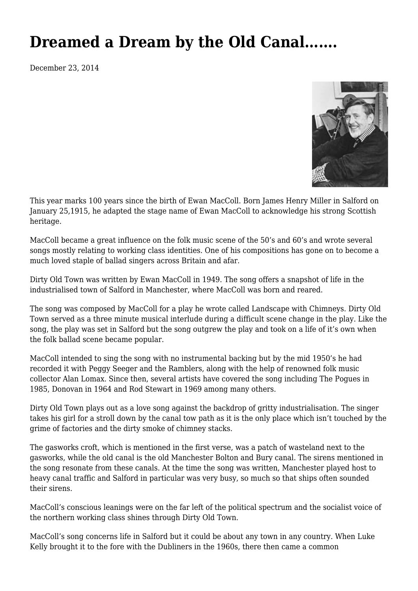## **[Dreamed a Dream by the Old Canal…….](https://newpol.org/dreamed-dream-old-canal/)**

December 23, 2014



This year marks 100 years since the birth of Ewan MacColl. Born James Henry Miller in Salford on January 25,1915, he adapted the stage name of Ewan MacColl to acknowledge his strong Scottish heritage.

MacColl became a great influence on the folk music scene of the 50's and 60's and wrote several songs mostly relating to working class identities. One of his compositions has gone on to become a much loved staple of ballad singers across Britain and afar.

Dirty Old Town was written by Ewan MacColl in 1949. The song offers a snapshot of life in the industrialised town of Salford in Manchester, where MacColl was born and reared.

The song was composed by MacColl for a play he wrote called Landscape with Chimneys. Dirty Old Town served as a three minute musical interlude during a difficult scene change in the play. Like the song, the play was set in Salford but the song outgrew the play and took on a life of it's own when the folk ballad scene became popular.

MacColl intended to sing the song with no instrumental backing but by the mid 1950's he had recorded it with Peggy Seeger and the Ramblers, along with the help of renowned folk music collector Alan Lomax. Since then, several artists have covered the song including The Pogues in 1985, Donovan in 1964 and Rod Stewart in 1969 among many others.

Dirty Old Town plays out as a love song against the backdrop of gritty industrialisation. The singer takes his girl for a stroll down by the canal tow path as it is the only place which isn't touched by the grime of factories and the dirty smoke of chimney stacks.

The gasworks croft, which is mentioned in the first verse, was a patch of wasteland next to the gasworks, while the old canal is the old Manchester Bolton and Bury canal. The sirens mentioned in the song resonate from these canals. At the time the song was written, Manchester played host to heavy canal traffic and Salford in particular was very busy, so much so that ships often sounded their sirens.

MacColl's conscious leanings were on the far left of the political spectrum and the socialist voice of the northern working class shines through Dirty Old Town.

MacColl's song concerns life in Salford but it could be about any town in any country. When Luke Kelly brought it to the fore with the Dubliners in the 1960s, there then came a common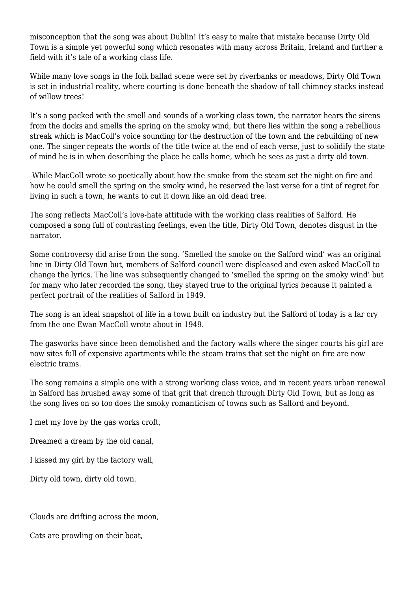misconception that the song was about Dublin! It's easy to make that mistake because Dirty Old Town is a simple yet powerful song which resonates with many across Britain, Ireland and further a field with it's tale of a working class life.

While many love songs in the folk ballad scene were set by riverbanks or meadows, Dirty Old Town is set in industrial reality, where courting is done beneath the shadow of tall chimney stacks instead of willow trees!

It's a song packed with the smell and sounds of a working class town, the narrator hears the sirens from the docks and smells the spring on the smoky wind, but there lies within the song a rebellious streak which is MacColl's voice sounding for the destruction of the town and the rebuilding of new one. The singer repeats the words of the title twice at the end of each verse, just to solidify the state of mind he is in when describing the place he calls home, which he sees as just a dirty old town.

 While MacColl wrote so poetically about how the smoke from the steam set the night on fire and how he could smell the spring on the smoky wind, he reserved the last verse for a tint of regret for living in such a town, he wants to cut it down like an old dead tree.

The song reflects MacColl's love-hate attitude with the working class realities of Salford. He composed a song full of contrasting feelings, even the title, Dirty Old Town, denotes disgust in the narrator.

Some controversy did arise from the song. 'Smelled the smoke on the Salford wind' was an original line in Dirty Old Town but, members of Salford council were displeased and even asked MacColl to change the lyrics. The line was subsequently changed to 'smelled the spring on the smoky wind' but for many who later recorded the song, they stayed true to the original lyrics because it painted a perfect portrait of the realities of Salford in 1949.

The song is an ideal snapshot of life in a town built on industry but the Salford of today is a far cry from the one Ewan MacColl wrote about in 1949.

The gasworks have since been demolished and the factory walls where the singer courts his girl are now sites full of expensive apartments while the steam trains that set the night on fire are now electric trams.

The song remains a simple one with a strong working class voice, and in recent years urban renewal in Salford has brushed away some of that grit that drench through Dirty Old Town, but as long as the song lives on so too does the smoky romanticism of towns such as Salford and beyond.

I met my love by the gas works croft,

Dreamed a dream by the old canal,

I kissed my girl by the factory wall,

Dirty old town, dirty old town.

Clouds are drifting across the moon,

Cats are prowling on their beat,